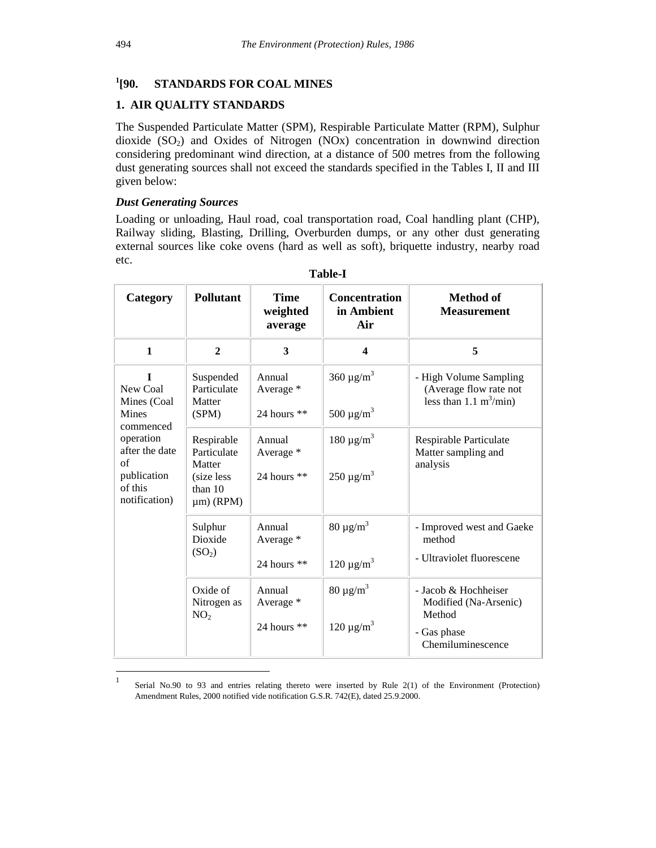#### $^{1}$ [90. **STANDARDS FOR COAL MINES**

# **1. AIR QUALITY STANDARDS**

The Suspended Particulate Matter (SPM), Respirable Particulate Matter (RPM), Sulphur dioxide  $(SO<sub>2</sub>)$  and Oxides of Nitrogen  $(NOx)$  concentration in downwind direction considering predominant wind direction, at a distance of 500 metres from the following dust generating sources shall not exceed the standards specified in the Tables I, II and III given below:

# *Dust Generating Sources*

Loading or unloading, Haul road, coal transportation road, Coal handling plant (CHP), Railway sliding, Blasting, Drilling, Overburden dumps, or any other dust generating external sources like coke ovens (hard as well as soft), briquette industry, nearby road etc.

| Category                                                                                                                                      | <b>Pollutant</b>                                                                  | Time<br>weighted<br>average          | <b>Concentration</b><br>in Ambient<br>Air          | Method of<br><b>Measurement</b>                                                             |
|-----------------------------------------------------------------------------------------------------------------------------------------------|-----------------------------------------------------------------------------------|--------------------------------------|----------------------------------------------------|---------------------------------------------------------------------------------------------|
| $\mathbf{1}$                                                                                                                                  | $\overline{2}$                                                                    | 3                                    | 4                                                  | 5                                                                                           |
| $\mathbf{I}$<br>New Coal<br>Mines (Coal<br>Mines<br>commenced<br>operation<br>after the date<br>of<br>publication<br>of this<br>notification) | Suspended<br>Particulate<br>Matter<br>(SPM)                                       | Annual<br>Average *<br>24 hours $**$ | $360 \text{ µg/m}^3$<br>500 $\mu$ g/m <sup>3</sup> | - High Volume Sampling<br>(Average flow rate not<br>less than 1.1 $m^3$ /min)               |
|                                                                                                                                               | Respirable<br>Particulate<br>Matter<br>(size less)<br>than $10$<br>$\mu$ m) (RPM) | Annual<br>Average *<br>24 hours $**$ | 180 $\mu$ g/m <sup>3</sup><br>$250 \mu g/m^3$      | Respirable Particulate<br>Matter sampling and<br>analysis                                   |
|                                                                                                                                               | Sulphur<br>Dioxide<br>(SO <sub>2</sub> )                                          | Annual<br>Average *<br>24 hours **   | $80 \mu g/m^3$<br>120 $\mu$ g/m <sup>3</sup>       | - Improved west and Gaeke<br>method<br>- Ultraviolet fluorescene                            |
|                                                                                                                                               | Oxide of<br>Nitrogen as<br>NO <sub>2</sub>                                        | Annual<br>Average *<br>24 hours $**$ | $80 \mu g/m^3$<br>$120 \mu g/m^3$                  | - Jacob & Hochheiser<br>Modified (Na-Arsenic)<br>Method<br>- Gas phase<br>Chemiluminescence |

**Table-I**

 $\frac{1}{1}$ Serial No.90 to 93 and entries relating thereto were inserted by Rule 2(1) of the Environment (Protection) Amendment Rules, 2000 notified vide notification G.S.R. 742(E), dated 25.9.2000.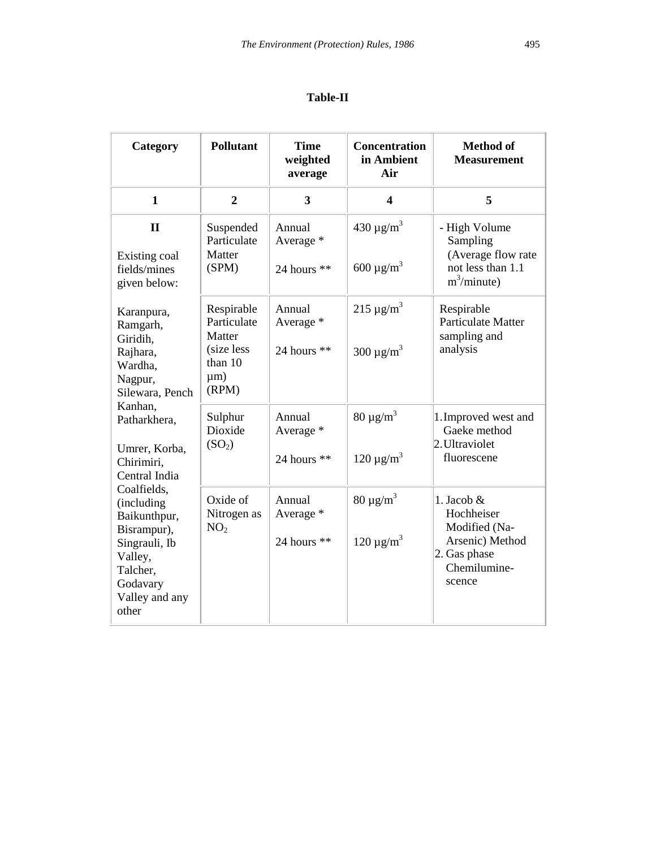# **Table-II**

| Category                                                                                                                                | <b>Pollutant</b>                                                                   | <b>Time</b><br>weighted<br>average   | <b>Concentration</b><br>in Ambient<br>Air                | <b>Method of</b><br><b>Measurement</b>                                                                   |
|-----------------------------------------------------------------------------------------------------------------------------------------|------------------------------------------------------------------------------------|--------------------------------------|----------------------------------------------------------|----------------------------------------------------------------------------------------------------------|
| $\mathbf{1}$                                                                                                                            | $\overline{2}$                                                                     | 3                                    | $\boldsymbol{4}$                                         | 5                                                                                                        |
| $\mathbf{I}$<br>Existing coal<br>fields/mines<br>given below:                                                                           | Suspended<br>Particulate<br>Matter<br>(SPM)                                        | Annual<br>Average *<br>24 hours $**$ | 430 $\mu$ g/m <sup>3</sup><br>600 $\mu$ g/m <sup>3</sup> | - High Volume<br>Sampling<br>(Average flow rate<br>not less than 1.1<br>$m^3/minute$ )                   |
| Karanpura,<br>Ramgarh,<br>Giridih,<br>Rajhara,<br>Wardha.<br>Nagpur,<br>Silewara, Pench                                                 | Respirable<br>Particulate<br>Matter<br>(size less)<br>than 10<br>$\mu$ m)<br>(RPM) | Annual<br>Average *<br>24 hours $**$ | $215 \mu g/m^3$<br>300 $\mu$ g/m <sup>3</sup>            | Respirable<br>Particulate Matter<br>sampling and<br>analysis                                             |
| Kanhan,<br>Patharkhera,<br>Umrer, Korba,<br>Chirimiri,<br>Central India                                                                 | Sulphur<br>Dioxide<br>(SO <sub>2</sub> )                                           | Annual<br>Average *<br>24 hours **   | $80 \mu g/m^3$<br>120 $\mu$ g/m <sup>3</sup>             | 1. Improved west and<br>Gaeke method<br>2. Ultraviolet<br>fluorescene                                    |
| Coalfields,<br>(including<br>Baikunthpur,<br>Bisrampur),<br>Singrauli, Ib<br>Valley,<br>Talcher,<br>Godavary<br>Valley and any<br>other | Oxide of<br>Nitrogen as<br>NO <sub>2</sub>                                         | Annual<br>Average *<br>24 hours $**$ | 80 $\mu$ g/m <sup>3</sup><br>$120 \mu g/m^3$             | 1. Jacob $&$<br>Hochheiser<br>Modified (Na-<br>Arsenic) Method<br>2. Gas phase<br>Chemilumine-<br>scence |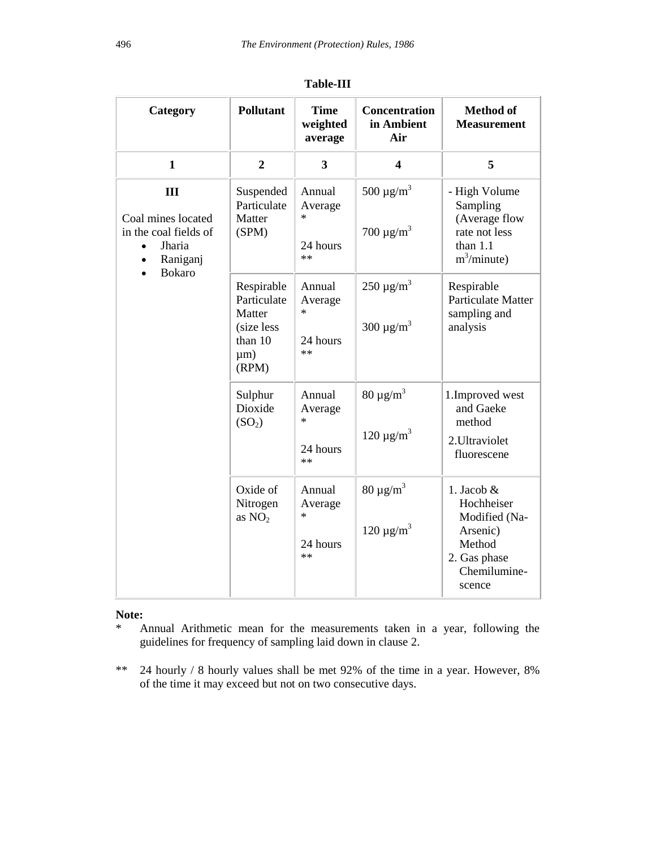| Category                                                               | <b>Pollutant</b>                                                                  | <b>Time</b><br>weighted<br>average              | <b>Concentration</b><br>in Ambient<br>Air                | <b>Method</b> of<br><b>Measurement</b>                                                                      |
|------------------------------------------------------------------------|-----------------------------------------------------------------------------------|-------------------------------------------------|----------------------------------------------------------|-------------------------------------------------------------------------------------------------------------|
| $\mathbf{1}$                                                           | $\overline{2}$                                                                    | $\overline{\mathbf{3}}$                         | $\overline{\mathbf{4}}$                                  | 5                                                                                                           |
| Ш<br>Coal mines located<br>in the coal fields of<br>Jharia<br>Raniganj | Suspended<br>Particulate<br>Matter<br>(SPM)                                       | Annual<br>Average<br>$\ast$<br>24 hours<br>$**$ | 500 $\mu$ g/m <sup>3</sup><br>700 $\mu$ g/m <sup>3</sup> | - High Volume<br>Sampling<br>(Average flow<br>rate not less<br>than $1.1$<br>$m^3/minute$ )                 |
| <b>Bokaro</b>                                                          | Respirable<br>Particulate<br>Matter<br>(size less<br>than 10<br>$\mu$ m)<br>(RPM) | Annual<br>Average<br>$\ast$<br>24 hours<br>$**$ | $250 \mu g/m^3$<br>300 $\mu$ g/m <sup>3</sup>            | Respirable<br><b>Particulate Matter</b><br>sampling and<br>analysis                                         |
|                                                                        | Sulphur<br>Dioxide<br>(SO <sub>2</sub> )                                          | Annual<br>Average<br>$\ast$<br>24 hours<br>$**$ | 80 $\mu$ g/m <sup>3</sup><br>$120 \mu g/m^3$             | 1. Improved west<br>and Gaeke<br>method<br>2. Ultraviolet<br>fluorescene                                    |
|                                                                        | Oxide of<br>Nitrogen<br>as $NO2$                                                  | Annual<br>Average<br>$\ast$<br>24 hours<br>$**$ | 80 $\mu$ g/m <sup>3</sup><br>$120 \mu g/m^3$             | 1. Jacob $&$<br>Hochheiser<br>Modified (Na-<br>Arsenic)<br>Method<br>2. Gas phase<br>Chemilumine-<br>scence |

**Table-III** 

### **Note:**

- \* Annual Arithmetic mean for the measurements taken in a year, following the guidelines for frequency of sampling laid down in clause 2.
- \*\* 24 hourly / 8 hourly values shall be met 92% of the time in a year. However, 8% of the time it may exceed but not on two consecutive days.